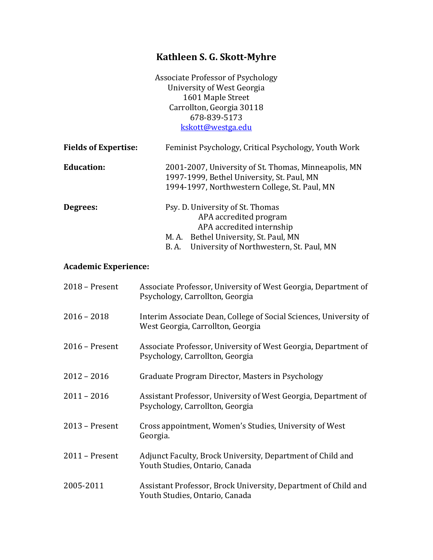# **Kathleen S. G. Skott-Myhre**

Associate Professor of Psychology University of West Georgia 1601 Maple Street Carrollton, Georgia 30118 678-839-5173 [kskott@westga.edu](mailto:kskott@westga.edu)

| <b>Fields of Expertise:</b> | Feminist Psychology, Critical Psychology, Youth Work                                                                                                                                  |
|-----------------------------|---------------------------------------------------------------------------------------------------------------------------------------------------------------------------------------|
| <b>Education:</b>           | 2001-2007, University of St. Thomas, Minneapolis, MN<br>1997-1999, Bethel University, St. Paul, MN<br>1994-1997, Northwestern College, St. Paul, MN                                   |
| Degrees:                    | Psy. D. University of St. Thomas<br>APA accredited program<br>APA accredited internship<br>M. A. Bethel University, St. Paul, MN<br>University of Northwestern, St. Paul, MN<br>B. A. |

# **Academic Experience:**

| $2018$ – Present | Associate Professor, University of West Georgia, Department of<br>Psychology, Carrollton, Georgia      |
|------------------|--------------------------------------------------------------------------------------------------------|
| $2016 - 2018$    | Interim Associate Dean, College of Social Sciences, University of<br>West Georgia, Carrollton, Georgia |
| $2016$ – Present | Associate Professor, University of West Georgia, Department of<br>Psychology, Carrollton, Georgia      |
| $2012 - 2016$    | Graduate Program Director, Masters in Psychology                                                       |
| $2011 - 2016$    | Assistant Professor, University of West Georgia, Department of<br>Psychology, Carrollton, Georgia      |
| $2013$ – Present | Cross appointment, Women's Studies, University of West<br>Georgia.                                     |
| $2011$ – Present | Adjunct Faculty, Brock University, Department of Child and<br>Youth Studies, Ontario, Canada           |
| 2005-2011        | Assistant Professor, Brock University, Department of Child and<br>Youth Studies, Ontario, Canada       |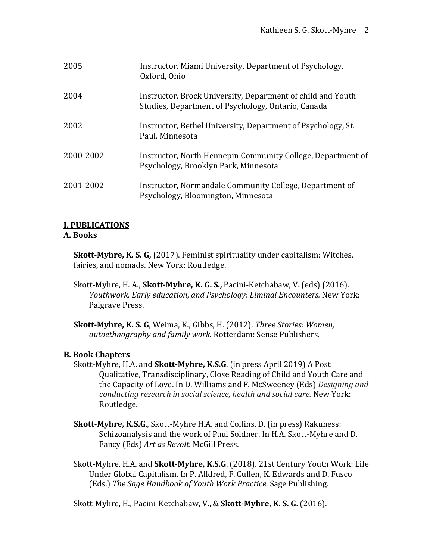| 2005      | Instructor, Miami University, Department of Psychology,<br>Oxford, Ohio                                           |
|-----------|-------------------------------------------------------------------------------------------------------------------|
| 2004      | Instructor, Brock University, Department of child and Youth<br>Studies, Department of Psychology, Ontario, Canada |
| 2002      | Instructor, Bethel University, Department of Psychology, St.<br>Paul, Minnesota                                   |
| 2000-2002 | Instructor, North Hennepin Community College, Department of<br>Psychology, Brooklyn Park, Minnesota               |
| 2001-2002 | Instructor, Normandale Community College, Department of<br>Psychology, Bloomington, Minnesota                     |

# **I. PUBLICATIONS**

#### **A. Books**

**Skott-Myhre, K. S. G,** (2017). Feminist spirituality under capitalism: Witches, fairies, and nomads. New York: Routledge.

- Skott-Myhre, H. A., **Skott-Myhre, K. G. S.,** Pacini-Ketchabaw, V. (eds) (2016). *Youthwork, Early education, and Psychology: Liminal Encounters.* New York: Palgrave Press.
- **Skott-Myhre, K. S. G**, Weima, K., Gibbs, H. (2012). *Three Stories: Women, autoethnography and family work.* Rotterdam: Sense Publishers.

# **B. Book Chapters**

- Skott-Myhre, H.A. and **Skott-Myhre, K.S.G**. (in press April 2019) A Post Qualitative, Transdisciplinary, Close Reading of Child and Youth Care and the Capacity of Love. In D. Williams and F. McSweeney (Eds) *Designing and conducting research in social science, health and social care.* New York: Routledge.
- **Skott-Myhre, K.S.G**., Skott-Myhre H.A. and Collins, D. (in press) Rakuness: Schizoanalysis and the work of Paul Soldner. In H.A. Skott-Myhre and D. Fancy (Eds) *Art as Revolt*. McGill Press.
- Skott-Myhre, H.A. and **Skott-Myhre, K.S.G**. (2018). 21st Century Youth Work: Life Under Global Capitalism. In P. Alldred, F. Cullen, K. Edwards and D. Fusco (Eds.) *The Sage Handbook of Youth Work Practice.* Sage Publishing.

Skott-Myhre, H., Pacini-Ketchabaw, V., & **Skott-Myhre, K. S. G.** (2016).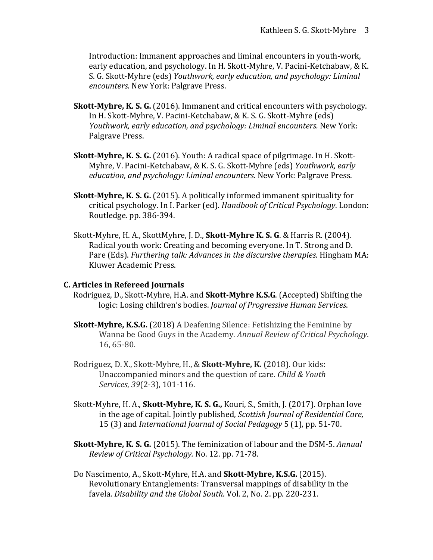Introduction: Immanent approaches and liminal encounters in youth-work, early education, and psychology. In H. Skott-Myhre, V. Pacini-Ketchabaw, & K. S. G. Skott-Myhre (eds) *Youthwork, early education, and psychology: Liminal encounters.* New York: Palgrave Press.

- **Skott-Myhre, K. S. G.** (2016). Immanent and critical encounters with psychology. In H. Skott-Myhre, V. Pacini-Ketchabaw, & K. S. G. Skott-Myhre (eds) *Youthwork, early education, and psychology: Liminal encounters.* New York: Palgrave Press.
- **Skott-Myhre, K. S. G.** (2016). Youth: A radical space of pilgrimage. In H. Skott-Myhre, V. Pacini-Ketchabaw, & K. S. G. Skott-Myhre (eds) *Youthwork, early education, and psychology: Liminal encounters.* New York: Palgrave Press.
- **Skott-Myhre, K. S. G.** (2015). A politically informed immanent spirituality for critical psychology. In I. Parker (ed). *Handbook of Critical Psychology*. London: Routledge. pp. 386-394.
- Skott-Myhre, H. A., SkottMyhre, J. D., **Skott-Myhre K. S. G**. & Harris R. (2004). Radical youth work: Creating and becoming everyone. In T. Strong and D. Pare (Eds). *Furthering talk: Advances in the discursive therapies*. Hingham MA: Kluwer Academic Press.

#### **C. Articles in Refereed Journals**

- Rodriguez, D., Skott-Myhre, H.A. and **Skott-Myhre K.S.G**. (Accepted) Shifting the logic: Losing children's bodies. *Journal of Progressive Human Services*.
- **Skott-Myhre, K.S.G.** (2018) A Deafening Silence: Fetishizing the Feminine by Wanna be Good Guys in the Academy. *Annual Review of Critical Psychology*. 16, 65-80.
- Rodriguez, D. X., Skott-Myhre, H., & **Skott-Myhre, K.** (2018). Our kids: Unaccompanied minors and the question of care. *Child & Youth Services*, *39*(2-3), 101-116.
- Skott-Myhre, H. A., **Skott-Myhre, K. S. G.,** Kouri, S., Smith, J. (2017). Orphan love in the age of capital. Jointly published, *Scottish Journal of Residential Care,*  15 (3) and *International Journal of Social Pedagogy* 5 (1), pp. 51-70.
- **Skott-Myhre, K. S. G.** (2015). The feminization of labour and the DSM-5. *Annual Review of Critical Psychology.* No. 12. pp. 71-78.
- Do Nascimento, A., Skott-Myhre, H.A. and **Skott-Myhre, K.S.G.** (2015). Revolutionary Entanglements: Transversal mappings of disability in the favela. *Disability and the Global South*. Vol. 2, No. 2. pp. 220-231.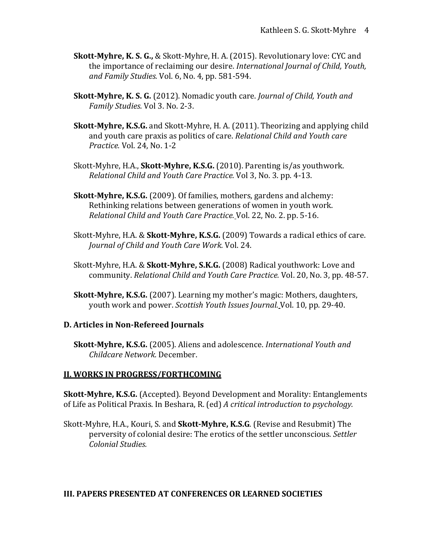- **Skott-Myhre, K. S. G.,** & Skott-Myhre, H. A. (2015). Revolutionary love: CYC and the importance of reclaiming our desire. *International Journal of Child, Youth, and Family Studies.* Vol. 6, No. 4, pp. 581-594.
- **Skott-Myhre, K. S. G.** (2012). Nomadic youth care. *Journal of Child, Youth and Family Studies.* Vol 3. No. 2-3.
- **Skott-Myhre, K.S.G.** and Skott-Myhre, H. A. (2011). Theorizing and applying child and youth care praxis as politics of care. *Relational Child and Youth care Practice.* Vol. 24, No. 1-2
- Skott-Myhre, H.A., **Skott-Myhre, K.S.G.** (2010). Parenting is/as youthwork. *Relational Child and Youth Care Practice.* Vol 3, No. 3. pp. 4-13.
- **Skott-Myhre, K.S.G.** (2009). Of families, mothers, gardens and alchemy: Rethinking relations between generations of women in youth work. *Relational Child and Youth Care Practice.* Vol. 22, No. 2. pp. 5-16.
- Skott-Myhre, H.A. & **Skott-Myhre, K.S.G.** (2009) Towards a radical ethics of care. *Journal of Child and Youth Care Work.* Vol. 24.
- Skott-Myhre, H.A. & **Skott-Myhre, S.K.G.** (2008) Radical youthwork: Love and community. *Relational Child and Youth Care Practice.* Vol. 20, No. 3, pp. 48-57.
- **Skott-Myhre, K.S.G.** (2007). Learning my mother's magic: Mothers, daughters, youth work and power. *Scottish Youth Issues Journal.* Vol. 10, pp. 29-40.

#### **D. Articles in Non-Refereed Journals**

**Skott-Myhre, K.S.G.** (2005). Aliens and adolescence. *International Youth and Childcare Network.* December.

#### **II. WORKS IN PROGRESS/FORTHCOMING**

**Skott-Myhre, K.S.G.** (Accepted). Beyond Development and Morality: Entanglements of Life as Political Praxis. In Beshara, R. (ed) *A critical introduction to psychology.*

Skott-Myhre, H.A., Kouri, S. and **Skott-Myhre, K.S.G**. (Revise and Resubmit) The perversity of colonial desire: The erotics of the settler unconscious. *Settler Colonial Studies.*

#### **III. PAPERS PRESENTED AT CONFERENCES OR LEARNED SOCIETIES**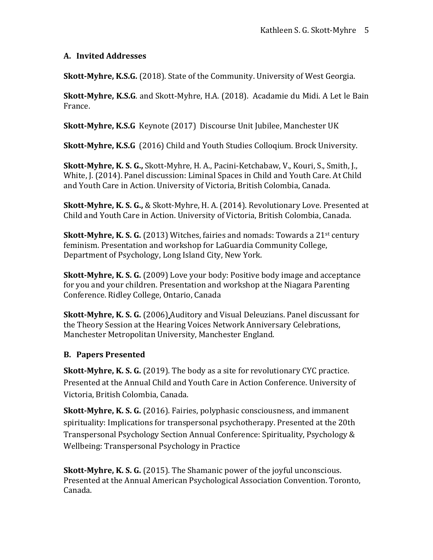# **A. Invited Addresses**

**Skott-Myhre, K.S.G.** (2018). State of the Community. University of West Georgia.

**Skott-Myhre, K.S.G**. and Skott-Myhre, H.A. (2018). Acadamie du Midi. A Let le Bain France.

**Skott-Myhre, K.S.G** Keynote (2017) Discourse Unit Jubilee, Manchester UK

**Skott-Myhre, K.S.G** (2016) Child and Youth Studies Colloqium. Brock University.

**Skott-Myhre, K. S. G.,** Skott-Myhre, H. A., Pacini-Ketchabaw, V., Kouri, S., Smith, J., White, J. (2014). Panel discussion: Liminal Spaces in Child and Youth Care. At Child and Youth Care in Action. University of Victoria, British Colombia, Canada.

**Skott-Myhre, K. S. G.,** & Skott-Myhre, H. A. (2014). Revolutionary Love. Presented at Child and Youth Care in Action. University of Victoria, British Colombia, Canada.

**Skott-Myhre, K. S. G.** (2013) Witches, fairies and nomads: Towards a 21<sup>st</sup> century feminism. Presentation and workshop for LaGuardia Community College, Department of Psychology, Long Island City, New York.

**Skott-Myhre, K. S. G.** (2009) Love your body: Positive body image and acceptance for you and your children. Presentation and workshop at the Niagara Parenting Conference. Ridley College, Ontario, Canada

**Skott-Myhre, K. S. G.** (2006) Auditory and Visual Deleuzians. Panel discussant for the Theory Session at the Hearing Voices Network Anniversary Celebrations, Manchester Metropolitan University, Manchester England.

# **B. Papers Presented**

**Skott-Myhre, K. S. G.** (2019). The body as a site for revolutionary CYC practice. Presented at the Annual Child and Youth Care in Action Conference. University of Victoria, British Colombia, Canada.

**Skott-Myhre, K. S. G.** (2016). Fairies, polyphasic consciousness, and immanent spirituality: Implications for transpersonal psychotherapy. Presented at the 20th Transpersonal Psychology Section Annual Conference: Spirituality, Psychology & Wellbeing: Transpersonal Psychology in Practice

**Skott-Myhre, K. S. G.** (2015). The Shamanic power of the joyful unconscious. Presented at the Annual American Psychological Association Convention. Toronto, Canada.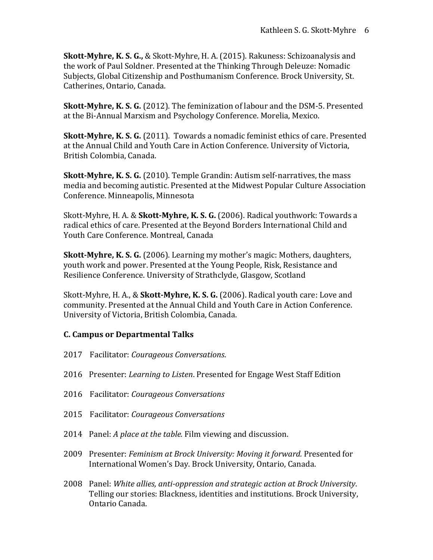**Skott-Myhre, K. S. G.,** & Skott-Myhre, H. A. (2015). Rakuness: Schizoanalysis and the work of Paul Soldner. Presented at the Thinking Through Deleuze: Nomadic Subjects, Global Citizenship and Posthumanism Conference. Brock University, St. Catherines, Ontario, Canada.

**Skott-Myhre, K. S. G.** (2012). The feminization of labour and the DSM-5. Presented at the Bi-Annual Marxism and Psychology Conference. Morelia, Mexico.

**Skott-Myhre, K. S. G.** (2011).Towards a nomadic feminist ethics of care. Presented at the Annual Child and Youth Care in Action Conference. University of Victoria, British Colombia, Canada.

**Skott-Myhre, K. S. G.** (2010). Temple Grandin: Autism self-narratives, the mass media and becoming autistic. Presented at the Midwest Popular Culture Association Conference. Minneapolis, Minnesota

Skott-Myhre, H. A. & **Skott-Myhre, K. S. G.** (2006). Radical youthwork: Towards a radical ethics of care. Presented at the Beyond Borders International Child and Youth Care Conference. Montreal, Canada

**Skott-Myhre, K. S. G.** (2006). Learning my mother's magic: Mothers, daughters, youth work and power. Presented at the Young People, Risk, Resistance and Resilience Conference. University of Strathclyde, Glasgow, Scotland

Skott-Myhre, H. A., & **Skott-Myhre, K. S. G.** (2006). Radical youth care: Love and community. Presented at the Annual Child and Youth Care in Action Conference. University of Victoria, British Colombia, Canada.

# **C. Campus or Departmental Talks**

- 2017 Facilitator: *Courageous Conversations*.
- 2016 Presenter: *Learning to Listen*. Presented for Engage West Staff Edition
- 2016 Facilitator: *Courageous Conversations*
- 2015 Facilitator: *Courageous Conversations*
- 2014 Panel: *A place at the table.* Film viewing and discussion.
- 2009 Presenter: *Feminism at Brock University: Moving it forward.* Presented for International Women's Day. Brock University, Ontario, Canada.
- 2008 Panel: *White allies, anti-oppression and strategic action at Brock University*. Telling our stories: Blackness, identities and institutions. Brock University, Ontario Canada.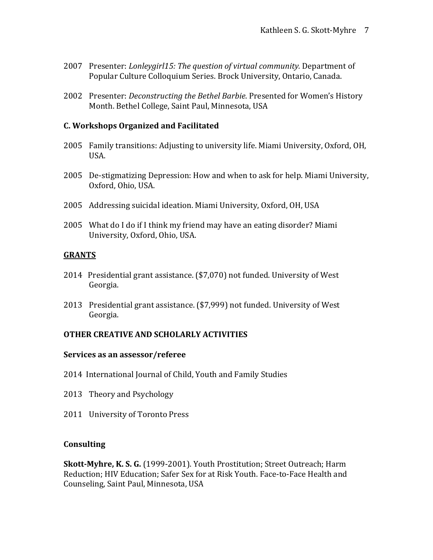- 2007 Presenter: *Lonleygirl15: The question of virtual community.* Department of Popular Culture Colloquium Series. Brock University, Ontario, Canada.
- 2002 Presenter: *Deconstructing the Bethel Barbie*. Presented for Women's History Month. Bethel College, Saint Paul, Minnesota, USA

#### **C. Workshops Organized and Facilitated**

- 2005 Family transitions: Adjusting to university life. Miami University, Oxford, OH, USA.
- 2005 De-stigmatizing Depression: How and when to ask for help. Miami University, Oxford, Ohio, USA.
- 2005 Addressing suicidal ideation. Miami University, Oxford, OH, USA
- 2005 What do I do if I think my friend may have an eating disorder? Miami University, Oxford, Ohio, USA.

#### **GRANTS**

- 2014 Presidential grant assistance. (\$7,070) not funded. University of West Georgia.
- 2013 Presidential grant assistance. (\$7,999) not funded. University of West Georgia.

#### **OTHER CREATIVE AND SCHOLARLY ACTIVITIES**

#### **Services as an assessor/referee**

- 2014 International Journal of Child, Youth and Family Studies
- 2013 Theory and Psychology
- 2011 University of Toronto Press

#### **Consulting**

**Skott-Myhre, K. S. G.** (1999-2001). Youth Prostitution; Street Outreach; Harm Reduction; HIV Education; Safer Sex for at Risk Youth. Face-to-Face Health and Counseling, Saint Paul, Minnesota, USA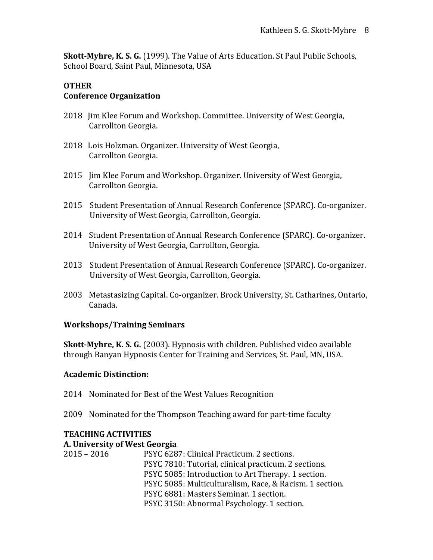**Skott-Myhre, K. S. G.** (1999). The Value of Arts Education. St Paul Public Schools, School Board, Saint Paul, Minnesota, USA

#### **OTHER Conference Organization**

- 2018 Jim Klee Forum and Workshop. Committee. University of West Georgia, Carrollton Georgia.
- 2018 Lois Holzman. Organizer. University of West Georgia, Carrollton Georgia.
- 2015 Jim Klee Forum and Workshop. Organizer. University of West Georgia, Carrollton Georgia.
- 2015 Student Presentation of Annual Research Conference (SPARC). Co-organizer. University of West Georgia, Carrollton, Georgia.
- 2014 Student Presentation of Annual Research Conference (SPARC). Co-organizer. University of West Georgia, Carrollton, Georgia.
- 2013 Student Presentation of Annual Research Conference (SPARC). Co-organizer. University of West Georgia, Carrollton, Georgia.
- 2003 Metastasizing Capital. Co-organizer. Brock University, St. Catharines, Ontario, Canada.

#### **Workshops/Training Seminars**

**Skott-Myhre, K. S. G.** (2003). Hypnosis with children. Published video available through Banyan Hypnosis Center for Training and Services, St. Paul, MN, USA.

#### **Academic Distinction:**

- 2014 Nominated for Best of the West Values Recognition
- 2009 Nominated for the Thompson Teaching award for part-time faculty

# **TEACHING ACTIVITIES**

#### **A. University of West Georgia**

2015 – 2016 PSYC 6287: Clinical Practicum. 2 sections. PSYC 7810: Tutorial, clinical practicum. 2 sections. PSYC 5085: Introduction to Art Therapy. 1 section. PSYC 5085: Multiculturalism, Race, & Racism. 1 section. PSYC 6881: Masters Seminar. 1 section. PSYC 3150: Abnormal Psychology. 1 section.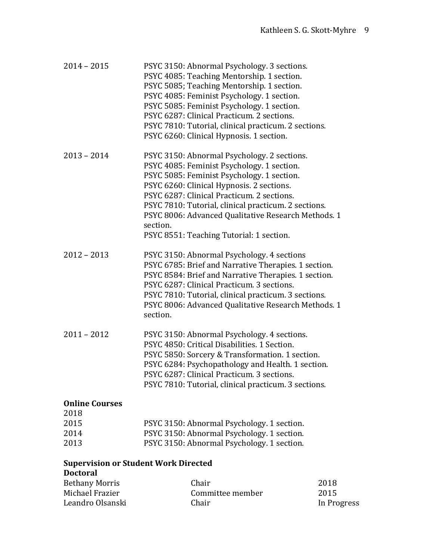| $2014 - 2015$                                                  | PSYC 3150: Abnormal Psychology. 3 sections.<br>PSYC 4085: Teaching Mentorship. 1 section.<br>PSYC 5085; Teaching Mentorship. 1 section.<br>PSYC 4085: Feminist Psychology. 1 section.<br>PSYC 5085: Feminist Psychology. 1 section.<br>PSYC 6287: Clinical Practicum. 2 sections.<br>PSYC 7810: Tutorial, clinical practicum. 2 sections.<br>PSYC 6260: Clinical Hypnosis. 1 section.                     |  |
|----------------------------------------------------------------|-----------------------------------------------------------------------------------------------------------------------------------------------------------------------------------------------------------------------------------------------------------------------------------------------------------------------------------------------------------------------------------------------------------|--|
| $2013 - 2014$                                                  | PSYC 3150: Abnormal Psychology. 2 sections.<br>PSYC 4085: Feminist Psychology. 1 section.<br>PSYC 5085: Feminist Psychology. 1 section.<br>PSYC 6260: Clinical Hypnosis. 2 sections.<br>PSYC 6287: Clinical Practicum. 2 sections.<br>PSYC 7810: Tutorial, clinical practicum. 2 sections.<br>PSYC 8006: Advanced Qualitative Research Methods. 1<br>section.<br>PSYC 8551: Teaching Tutorial: 1 section. |  |
| $2012 - 2013$                                                  | PSYC 3150: Abnormal Psychology. 4 sections<br>PSYC 6785: Brief and Narrative Therapies. 1 section.<br>PSYC 8584: Brief and Narrative Therapies. 1 section.<br>PSYC 6287: Clinical Practicum. 3 sections.<br>PSYC 7810: Tutorial, clinical practicum. 3 sections.<br>PSYC 8006: Advanced Qualitative Research Methods. 1<br>section.                                                                       |  |
| $2011 - 2012$                                                  | PSYC 3150: Abnormal Psychology. 4 sections.<br>PSYC 4850: Critical Disabilities. 1 Section.<br>PSYC 5850: Sorcery & Transformation. 1 section.<br>PSYC 6284: Psychopathology and Health. 1 section.<br>PSYC 6287: Clinical Practicum. 3 sections<br>PSYC 7810: Tutorial, clinical practicum. 3 sections.                                                                                                  |  |
| <b>Online Courses</b>                                          |                                                                                                                                                                                                                                                                                                                                                                                                           |  |
| 2018<br>2015                                                   | PSYC 3150: Abnormal Psychology. 1 section.                                                                                                                                                                                                                                                                                                                                                                |  |
| 2014                                                           | PSYC 3150: Abnormal Psychology. 1 section.                                                                                                                                                                                                                                                                                                                                                                |  |
| 2013                                                           | PSYC 3150: Abnormal Psychology. 1 section.                                                                                                                                                                                                                                                                                                                                                                |  |
| <b>Supervision or Student Work Directed</b><br><b>Doctoral</b> |                                                                                                                                                                                                                                                                                                                                                                                                           |  |

| <b>Bethany Morris</b> | Chair            | 2018        |
|-----------------------|------------------|-------------|
| Michael Frazier       | Committee member | 2015        |
| Leandro Olsanski      | Chair            | In Progress |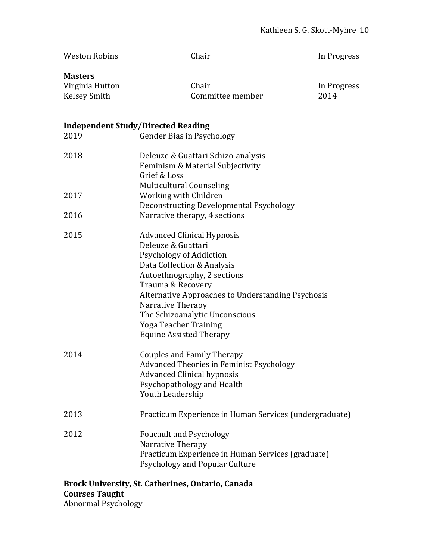| <b>Weston Robins</b>                                     | Chair                                                                                                                                                                                                                                                                                                                                       | In Progress         |
|----------------------------------------------------------|---------------------------------------------------------------------------------------------------------------------------------------------------------------------------------------------------------------------------------------------------------------------------------------------------------------------------------------------|---------------------|
| <b>Masters</b><br>Virginia Hutton<br><b>Kelsey Smith</b> | Chair<br>Committee member                                                                                                                                                                                                                                                                                                                   | In Progress<br>2014 |
| 2019                                                     | <b>Independent Study/Directed Reading</b><br><b>Gender Bias in Psychology</b>                                                                                                                                                                                                                                                               |                     |
| 2018                                                     | Deleuze & Guattari Schizo-analysis<br>Feminism & Material Subjectivity<br>Grief & Loss                                                                                                                                                                                                                                                      |                     |
| 2017                                                     | <b>Multicultural Counseling</b><br>Working with Children<br>Deconstructing Developmental Psychology                                                                                                                                                                                                                                         |                     |
| 2016                                                     | Narrative therapy, 4 sections                                                                                                                                                                                                                                                                                                               |                     |
| 2015                                                     | <b>Advanced Clinical Hypnosis</b><br>Deleuze & Guattari<br>Psychology of Addiction<br>Data Collection & Analysis<br>Autoethnography, 2 sections<br>Trauma & Recovery<br>Alternative Approaches to Understanding Psychosis<br>Narrative Therapy<br>The Schizoanalytic Unconscious<br>Yoga Teacher Training<br><b>Equine Assisted Therapy</b> |                     |
| 2014                                                     | <b>Couples and Family Therapy</b><br><b>Advanced Theories in Feminist Psychology</b><br><b>Advanced Clinical hypnosis</b><br>Psychopathology and Health<br>Youth Leadership                                                                                                                                                                 |                     |
| 2013                                                     | Practicum Experience in Human Services (undergraduate)                                                                                                                                                                                                                                                                                      |                     |
| 2012                                                     | <b>Foucault and Psychology</b><br>Narrative Therapy<br>Practicum Experience in Human Services (graduate)<br>Psychology and Popular Culture                                                                                                                                                                                                  |                     |
|                                                          | <b>Prock University St Catherines Ontario Canada</b>                                                                                                                                                                                                                                                                                        |                     |

**Brock University, St. Catherines, Ontario, Canada Courses Taught** Abnormal Psychology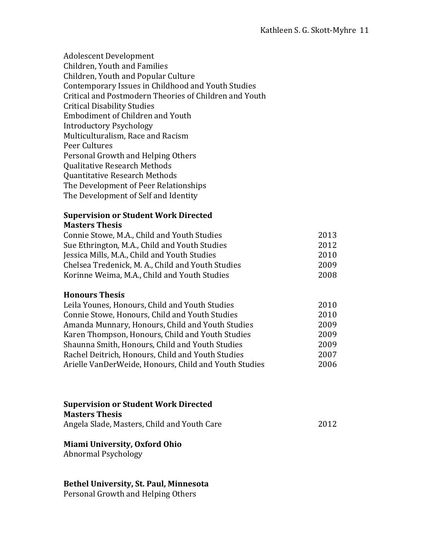Adolescent Development Children, Youth and Families Children, Youth and Popular Culture Contemporary Issues in Childhood and Youth Studies Critical and Postmodern Theories of Children and Youth Critical Disability Studies Embodiment of Children and Youth Introductory Psychology Multiculturalism, Race and Racism Peer Cultures Personal Growth and Helping Others Qualitative Research Methods Quantitative Research Methods The Development of Peer Relationships The Development of Self and Identity

#### **Supervision or Student Work Directed Masters Thesis**

| Connie Stowe, M.A., Child and Youth Studies       | 2013 |
|---------------------------------------------------|------|
| Sue Ethrington, M.A., Child and Youth Studies     | 2012 |
| Jessica Mills, M.A., Child and Youth Studies      | 2010 |
| Chelsea Tredenick, M. A., Child and Youth Studies | 2009 |
| Korinne Weima, M.A., Child and Youth Studies      | 2008 |

#### **Honours Thesis**

| Leila Younes, Honours, Child and Youth Studies        | 2010 |
|-------------------------------------------------------|------|
| Connie Stowe, Honours, Child and Youth Studies        | 2010 |
| Amanda Munnary, Honours, Child and Youth Studies      | 2009 |
| Karen Thompson, Honours, Child and Youth Studies      | 2009 |
| Shaunna Smith, Honours, Child and Youth Studies       | 2009 |
| Rachel Deitrich, Honours, Child and Youth Studies     | 2007 |
| Arielle VanDerWeide, Honours, Child and Youth Studies | 2006 |
|                                                       |      |

# **Supervision or Student Work Directed Masters Thesis**

Angela Slade, Masters, Child and Youth Care 2012

# **Miami University, Oxford Ohio**

Abnormal Psychology

#### **Bethel University, St. Paul, Minnesota**

Personal Growth and Helping Others